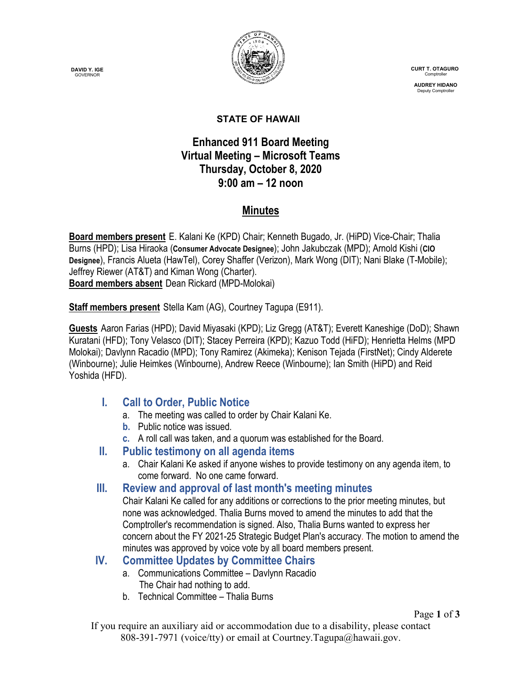**DAVID Y. IGE GOVERNOR** 



 **CURT T. OTAGURO** Comptrol

 **AUDREY HIDANO** Deputy Comptrolle

#### **STATE OF HAWAII**

### **Enhanced 911 Board Meeting Virtual Meeting – Microsoft Teams Thursday, October 8, 2020 9:00 am – 12 noon**

## **Minutes**

**Board members present** E. Kalani Ke (KPD) Chair; Kenneth Bugado, Jr. (HiPD) Vice-Chair; Thalia Burns (HPD); Lisa Hiraoka (**Consumer Advocate Designee**); John Jakubczak (MPD); Arnold Kishi (**CIO Designee**), Francis Alueta (HawTel), Corey Shaffer (Verizon), Mark Wong (DIT); Nani Blake (T-Mobile); Jeffrey Riewer (AT&T) and Kiman Wong (Charter). **Board members absent** Dean Rickard (MPD-Molokai)

**Staff members present** Stella Kam (AG), Courtney Tagupa (E911).

**Guests** Aaron Farias (HPD); David Miyasaki (KPD); Liz Gregg (AT&T); Everett Kaneshige (DoD); Shawn Kuratani (HFD); Tony Velasco (DIT); Stacey Perreira (KPD); Kazuo Todd (HiFD); Henrietta Helms (MPD Molokai); Davlynn Racadio (MPD); Tony Ramirez (Akimeka); Kenison Tejada (FirstNet); Cindy Alderete (Winbourne); Julie Heimkes (Winbourne), Andrew Reece (Winbourne); Ian Smith (HiPD) and Reid Yoshida (HFD).

## **I. Call to Order, Public Notice**

- a. The meeting was called to order by Chair Kalani Ke.
- **b.** Public notice was issued.
- **c.** A roll call was taken, and a quorum was established for the Board.

### **II. Public testimony on all agenda items**

- a. Chair Kalani Ke asked if anyone wishes to provide testimony on any agenda item, to come forward. No one came forward.
- **III. Review and approval of last month's meeting minutes**

Chair Kalani Ke called for any additions or corrections to the prior meeting minutes, but none was acknowledged. Thalia Burns moved to amend the minutes to add that the Comptroller's recommendation is signed. Also, Thalia Burns wanted to express her concern about the FY 2021-25 Strategic Budget Plan's accuracy. The motion to amend the minutes was approved by voice vote by all board members present.

### **IV. Committee Updates by Committee Chairs**

- a. Communications Committee Davlynn Racadio The Chair had nothing to add.
- b. Technical Committee Thalia Burns

Page **1** of **3**

If you require an auxiliary aid or accommodation due to a disability, please contact 808-391-7971 (voice/tty) or email at Courtney.Tagupa@hawaii.gov.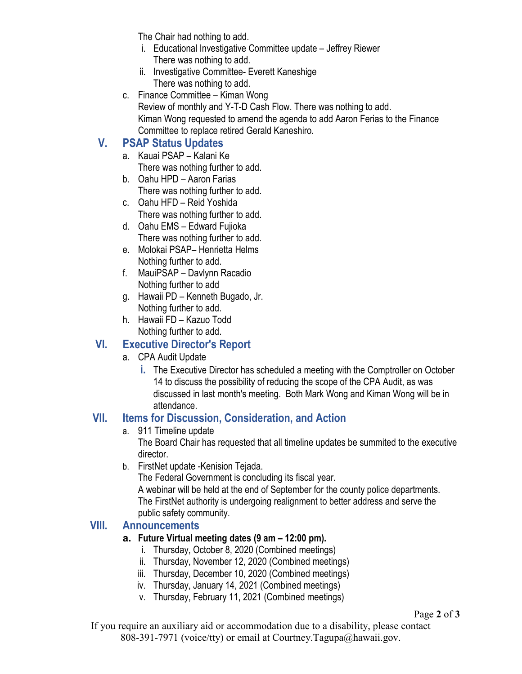The Chair had nothing to add.

- i. Educational Investigative Committee update Jeffrey Riewer There was nothing to add.
- ii. Investigative Committee- Everett Kaneshige There was nothing to add.
- c. Finance Committee Kiman Wong Review of monthly and Y-T-D Cash Flow. There was nothing to add. Kiman Wong requested to amend the agenda to add Aaron Ferias to the Finance Committee to replace retired Gerald Kaneshiro.

# **V. PSAP Status Updates**

- a. Kauai PSAP Kalani Ke There was nothing further to add.
- b. Oahu HPD Aaron Farias There was nothing further to add.
- c. Oahu HFD Reid Yoshida There was nothing further to add.
- d. Oahu EMS Edward Fujioka There was nothing further to add.
- e. Molokai PSAP– Henrietta Helms Nothing further to add.
- f. MauiPSAP Davlynn Racadio Nothing further to add
- g. Hawaii PD Kenneth Bugado, Jr. Nothing further to add.
- h. Hawaii FD Kazuo Todd Nothing further to add.

## **VI. Executive Director's Report**

- a. CPA Audit Update
	- **i.** The Executive Director has scheduled a meeting with the Comptroller on October 14 to discuss the possibility of reducing the scope of the CPA Audit, as was discussed in last month's meeting. Both Mark Wong and Kiman Wong will be in attendance.

## **VII. Items for Discussion, Consideration, and Action**

a. 911 Timeline update

The Board Chair has requested that all timeline updates be summited to the executive director.

b. FirstNet update -Kenision Tejada.

The Federal Government is concluding its fiscal year.

A webinar will be held at the end of September for the county police departments. The FirstNet authority is undergoing realignment to better address and serve the public safety community.

## **VIII. Announcements**

## **a. Future Virtual meeting dates (9 am – 12:00 pm).**

- i. Thursday, October 8, 2020 (Combined meetings)
- ii. Thursday, November 12, 2020 (Combined meetings)
- iii. Thursday, December 10, 2020 (Combined meetings)
- iv. Thursday, January 14, 2021 (Combined meetings)
- v. Thursday, February 11, 2021 (Combined meetings)

If you require an auxiliary aid or accommodation due to a disability, please contact 808-391-7971 (voice/tty) or email at Courtney.Tagupa@hawaii.gov.